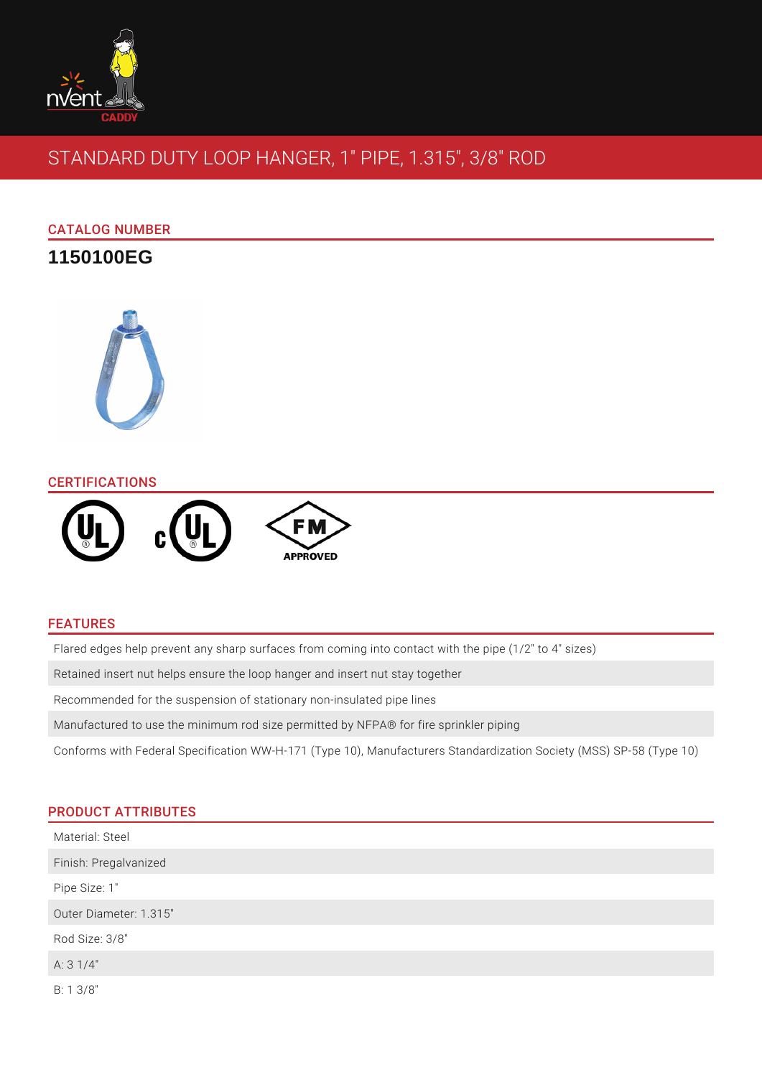

# STANDARD DUTY LOOP HANGER, 1" PIPE, 1.315", 3/8" ROD

# CATALOG NUMBER

**1150100EG**



## **CERTIFICATIONS**



## FEATURES

Flared edges help prevent any sharp surfaces from coming into contact with the pipe (1/2" to 4" sizes)

Retained insert nut helps ensure the loop hanger and insert nut stay together

Recommended for the suspension of stationary non-insulated pipe lines

Manufactured to use the minimum rod size permitted by NFPA® for fire sprinkler piping

Conforms with Federal Specification WW-H-171 (Type 10), Manufacturers Standardization Society (MSS) SP-58 (Type 10)

# PRODUCT ATTRIBUTES

| Material: Steel        |  |
|------------------------|--|
| Finish: Pregalvanized  |  |
| Pipe Size: 1"          |  |
| Outer Diameter: 1.315" |  |
| Rod Size: 3/8"         |  |
| A: $31/4"$             |  |
| $B: 1 \frac{3}{8}$     |  |